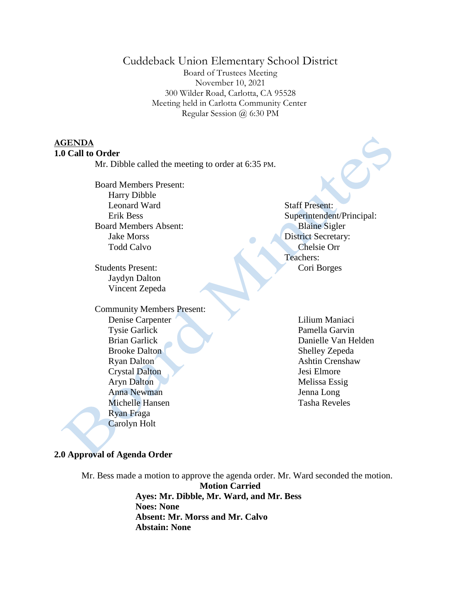# Cuddeback Union Elementary School District

Board of Trustees Meeting November 10, 2021 300 Wilder Road, Carlotta, CA 95528 Meeting held in Carlotta Community Center Regular Session @ 6:30 PM

 $\bullet$ 

### **AGENDA 1.0 Call to Order**

Mr. Dibble called the meeting to order at 6:35 PM.

Board Members Present: Harry Dibble Leonard Ward Erik Bess Board Members Absent: Jake Morss Todd Calvo

Students Present: Jaydyn Dalton Vincent Zepeda

 Community Members Present: Denise Carpenter Tysie Garlick Brian Garlick Brooke Dalton Ryan Dalton Crystal Dalton Aryn Dalton Anna Newman Michelle Hansen Ryan Fraga Carolyn Holt

Staff Present: Superintendent/Principal: Blaine Sigler District Secretary: Chelsie Orr Teachers: Cori Borges

> Lilium Maniaci Pamella Garvin Danielle Van Helden Shelley Zepeda Ashtin Crenshaw Jesi Elmore Melissa Essig Jenna Long Tasha Reveles

### **2.0 Approval of Agenda Order**

Mr. Bess made a motion to approve the agenda order. Mr. Ward seconded the motion. **Motion Carried Ayes: Mr. Dibble, Mr. Ward, and Mr. Bess Noes: None Absent: Mr. Morss and Mr. Calvo Abstain: None**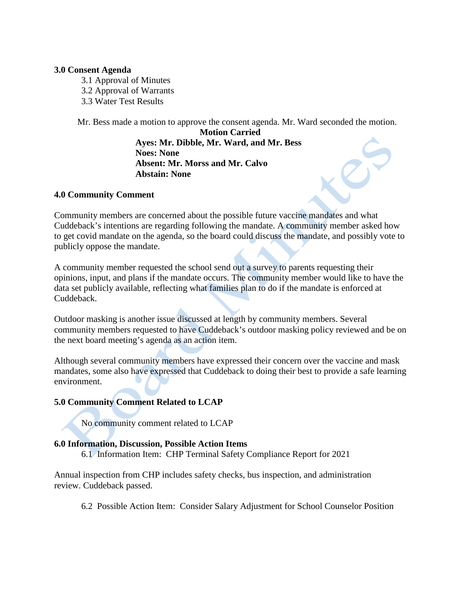#### **3.0 Consent Agenda**

- 3.1 Approval of Minutes
- 3.2 Approval of Warrants
- 3.3 Water Test Results

Mr. Bess made a motion to approve the consent agenda. Mr. Ward seconded the motion.

D

**Motion Carried Ayes: Mr. Dibble, Mr. Ward, and Mr. Bess Noes: None Absent: Mr. Morss and Mr. Calvo Abstain: None**

### **4.0 Community Comment**

Community members are concerned about the possible future vaccine mandates and what Cuddeback's intentions are regarding following the mandate. A community member asked how to get covid mandate on the agenda, so the board could discuss the mandate, and possibly vote to publicly oppose the mandate.

A community member requested the school send out a survey to parents requesting their opinions, input, and plans if the mandate occurs. The community member would like to have the data set publicly available, reflecting what families plan to do if the mandate is enforced at Cuddeback.

Outdoor masking is another issue discussed at length by community members. Several community members requested to have Cuddeback's outdoor masking policy reviewed and be on the next board meeting's agenda as an action item.

Although several community members have expressed their concern over the vaccine and mask mandates, some also have expressed that Cuddeback to doing their best to provide a safe learning environment.

## **5.0 Community Comment Related to LCAP**

No community comment related to LCAP

### **6.0 Information, Discussion, Possible Action Items**

6.1 Information Item: CHP Terminal Safety Compliance Report for 2021

Annual inspection from CHP includes safety checks, bus inspection, and administration review. Cuddeback passed.

6.2 Possible Action Item: Consider Salary Adjustment for School Counselor Position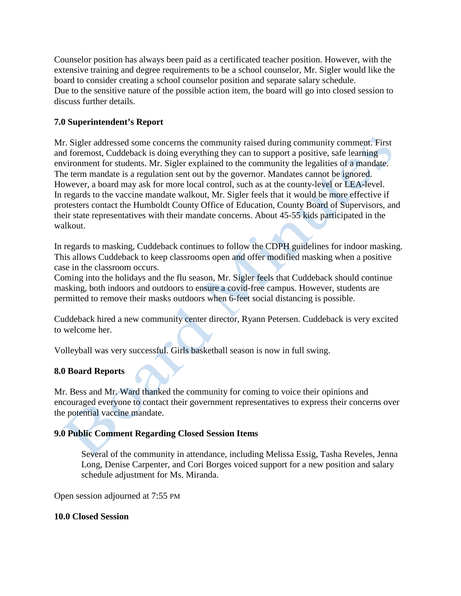Counselor position has always been paid as a certificated teacher position. However, with the extensive training and degree requirements to be a school counselor, Mr. Sigler would like the board to consider creating a school counselor position and separate salary schedule. Due to the sensitive nature of the possible action item, the board will go into closed session to discuss further details.

## **7.0 Superintendent's Report**

Mr. Sigler addressed some concerns the community raised during community comment. First and foremost, Cuddeback is doing everything they can to support a positive, safe learning environment for students. Mr. Sigler explained to the community the legalities of a mandate. The term mandate is a regulation sent out by the governor. Mandates cannot be ignored. However, a board may ask for more local control, such as at the county-level or LEA-level. In regards to the vaccine mandate walkout, Mr. Sigler feels that it would be more effective if protesters contact the Humboldt County Office of Education, County Board of Supervisors, and their state representatives with their mandate concerns. About 45-55 kids participated in the walkout.

In regards to masking, Cuddeback continues to follow the CDPH guidelines for indoor masking. This allows Cuddeback to keep classrooms open and offer modified masking when a positive case in the classroom occurs.

Coming into the holidays and the flu season, Mr. Sigler feels that Cuddeback should continue masking, both indoors and outdoors to ensure a covid-free campus. However, students are permitted to remove their masks outdoors when 6-feet social distancing is possible.

Cuddeback hired a new community center director, Ryann Petersen. Cuddeback is very excited to welcome her.

Volleyball was very successful. Girls basketball season is now in full swing.

# **8.0 Board Reports**

Mr. Bess and Mr. Ward thanked the community for coming to voice their opinions and encouraged everyone to contact their government representatives to express their concerns over the potential vaccine mandate.

## **9.0 Public Comment Regarding Closed Session Items**

Several of the community in attendance, including Melissa Essig, Tasha Reveles, Jenna Long, Denise Carpenter, and Cori Borges voiced support for a new position and salary schedule adjustment for Ms. Miranda.

Open session adjourned at 7:55 PM

### **10.0 Closed Session**